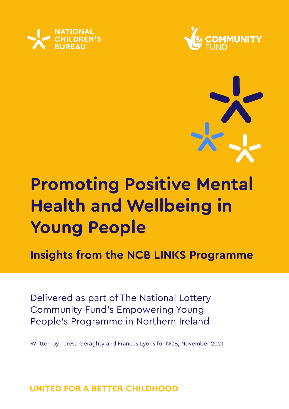





# **Promoting Positive Mental Health and Wellbeing in Young People**

**Insights from the NCB LINKS Programme**

Delivered as part of The National Lottery Community Fund's Empowering Young People's Programme in Northern Ireland

Written by Teresa Geraghty and Frances Lyons for NCB, November 2021

UNITED FOR A BETTER CHILDHOOD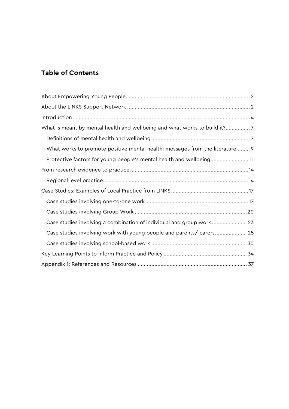### **Table of Contents**

| What is meant by mental health and wellbeing and what works to build it?7    |
|------------------------------------------------------------------------------|
|                                                                              |
| What works to promote positive mental health: messages from the literature 9 |
| Protective factors for young people's mental health and wellbeing 11         |
|                                                                              |
|                                                                              |
|                                                                              |
|                                                                              |
|                                                                              |
| Case studies involving a combination of individual and group work  23        |
| Case studies involving work with young people and parents/ carers 25         |
|                                                                              |
|                                                                              |
|                                                                              |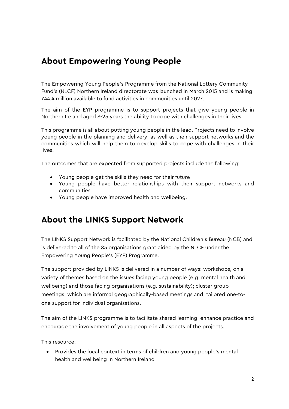# <span id="page-2-0"></span>**About Empowering Young People**

The Empowering Young People's Programme from the National Lottery Community Fund's (NLCF) Northern Ireland directorate was launched in March 2015 and is making £44.4 million available to fund activities in communities until 2027.

The aim of the EYP programme is to support projects that give young people in Northern Ireland aged 8-25 years the ability to cope with challenges in their lives.

This programme is all about putting young people in the lead. Projects need to involve young people in the planning and delivery, as well as their support networks and the communities which will help them to develop skills to cope with challenges in their lives.

The outcomes that are expected from supported projects include the following:

- Young people get the skills they need for their future
- Young people have better relationships with their support networks and communities
- Young people have improved health and wellbeing.

# <span id="page-2-1"></span>**About the LINKS Support Network**

The LINKS Support Network is facilitated by the National Children's Bureau (NCB) and is delivered to all of the 85 organisations grant aided by the NLCF under the Empowering Young People's (EYP) Programme.

The support provided by LINKS is delivered in a number of ways: [workshops,](https://www.ncb.org.uk/links-workshops) on a variety of themes based on the issues facing young people (e.g. mental health and wellbeing) and those facing organisations (e.g. sustainability); cluster group meetings, which are informal geographically-based meetings and; tailored one-toone support for individual organisations.

The aim of the LINKS programme is to facilitate shared learning, enhance practice and encourage the involvement of young people in all aspects of the projects.

This resource:

• Provides the local context in terms of children and young people's mental health and wellbeing in Northern Ireland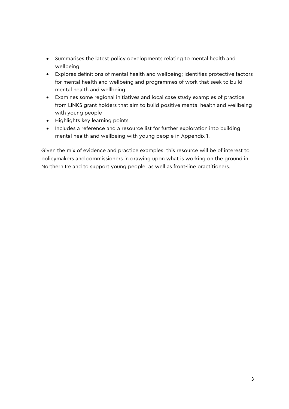- Summarises the latest policy developments relating to mental health and wellbeing
- Explores definitions of mental health and wellbeing; identifies protective factors for mental health and wellbeing and programmes of work that seek to build mental health and wellbeing
- Examines some regional initiatives and local case study examples of practice from LINKS grant holders that aim to build positive mental health and wellbeing with young people
- Highlights key learning points
- Includes a reference and a resource list for further exploration into building mental health and wellbeing with young people in Appendix 1.

Given the mix of evidence and practice examples, this resource will be of interest to policymakers and commissioners in drawing upon what is working on the ground in Northern Ireland to support young people, as well as front-line practitioners.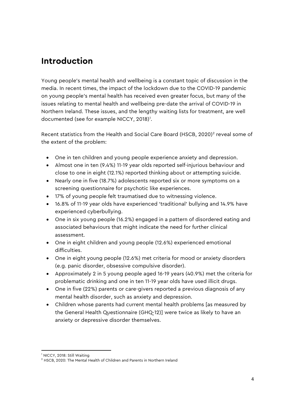# <span id="page-4-0"></span>**Introduction**

Young people's mental health and wellbeing is a constant topic of discussion in the media. In recent times, the impact of the lockdown due to the COVID-19 pandemic on young people's mental health has received even greater focus, but many of the issues relating to mental health and wellbeing pre-date the arrival of COVID-19 in Northern Ireland. These issues, and the lengthy waiting lists for treatment, are well documented (see for example NICCY, 20[1](#page-4-1)8)<sup>1</sup>.

Recent statistics from the Health and Social Care Board (HSCB, [2](#page-4-2)020)<sup>2</sup> reveal some of the extent of the problem:

- One in ten children and young people experience anxiety and depression.
- Almost one in ten (9.4%) 11-19 year olds reported self-injurious behaviour and close to one in eight (12.1%) reported thinking about or attempting suicide.
- Nearly one in five (18.7%) adolescents reported six or more symptoms on a screening questionnaire for psychotic like experiences.
- 17% of young people felt traumatised due to witnessing violence.
- 16.8% of 11-19 year olds have experienced 'traditional' bullying and 14.9% have experienced cyberbullying.
- One in six young people (16.2%) engaged in a pattern of disordered eating and associated behaviours that might indicate the need for further clinical assessment.
- One in eight children and young people (12.6%) experienced emotional difficulties.
- One in eight young people (12.6%) met criteria for mood or anxiety disorders (e.g. panic disorder, obsessive compulsive disorder).
- Approximately 2 in 5 young people aged 16-19 years (40.9%) met the criteria for problematic drinking and one in ten 11-19 year olds have used illicit drugs.
- One in five (22%) parents or care-givers reported a previous diagnosis of any mental health disorder, such as anxiety and depression.
- Children whose parents had current mental health problems [as measured by the General Health Questionnaire (GHQ-12)] were twice as likely to have an anxiety or depressive disorder themselves.

<span id="page-4-1"></span><sup>-</sup><sup>1</sup> NICCY, 2018: Still Waiting

<span id="page-4-2"></span><sup>&</sup>lt;sup>2</sup> HSCB, 2020: The Mental Health of Children and Parents in Northern Ireland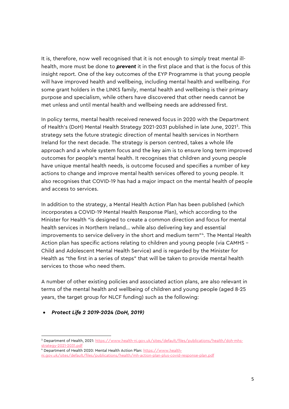It is, therefore, now well recognised that it is not enough to simply treat mental illhealth, more must be done to *prevent* it in the first place and that is the focus of this insight report. One of the key outcomes of the EYP Programme is that young people will have improved health and wellbeing, including mental health and wellbeing. For some grant holders in the LINKS family, mental health and wellbeing is their primary purpose and specialism, while others have discovered that other needs cannot be met unless and until mental health and wellbeing needs are addressed first.

In policy terms, mental health received renewed focus in 2020 with the Department of Health's (DoH) Mental Health Strategy 2021-20[3](#page-5-0)1 published in late June, 2021<sup>3</sup>. This strategy sets the future strategic direction of mental health services in Northern Ireland for the next decade. The strategy is person centred, takes a whole life approach and a whole system focus and the key aim is to ensure long term improved outcomes for people's mental health. It recognises that children and young people have unique mental health needs, is outcome focused and specifies a number of key actions to change and improve mental health services offered to young people. It also recognises that COVID-19 has had a major impact on the mental health of people and access to services.

In addition to the strategy, a Mental Health Action Plan has been published (which incorporates a COVID-19 Mental Health Response Plan), which according to the Minister for Health "is designed to create a common direction and focus for mental health services in Northern Ireland… while also delivering key and essential improvements to service delivery in the short and medium term"<sup>[4](#page-5-1)</sup>. The Mental Health Action plan has specific actions relating to children and young people (via CAMHS – Child and Adolescent Mental Health Service) and is regarded by the Minister for Health as "the first in a series of steps" that will be taken to provide mental health services to those who need them.

A number of other existing policies and associated action plans, are also relevant in terms of the mental health and wellbeing of children and young people (aged 8-25 years, the target group for NLCF funding) such as the following:

### • *Protect Life 2 2019-2024 (DoH, 2019)*

-

<span id="page-5-0"></span><sup>&</sup>lt;sup>3</sup> Department of Health, 2021[: https://www.health-ni.gov.uk/sites/default/files/publications/health/doh-mhs](https://www.health-ni.gov.uk/sites/default/files/publications/health/doh-mhs-strategy-2021-2031.pdf)[strategy-2021-2031.pdf](https://www.health-ni.gov.uk/sites/default/files/publications/health/doh-mhs-strategy-2021-2031.pdf)

<span id="page-5-1"></span><sup>4</sup> Department of Health 2020: Mental Health Action Plan[: https://www.health-](https://www.health-ni.gov.uk/sites/default/files/publications/health/mh-action-plan-plus-covid-response-plan.pdf)

[ni.gov.uk/sites/default/files/publications/health/mh-action-plan-plus-covid-response-plan.pdf](https://www.health-ni.gov.uk/sites/default/files/publications/health/mh-action-plan-plus-covid-response-plan.pdf)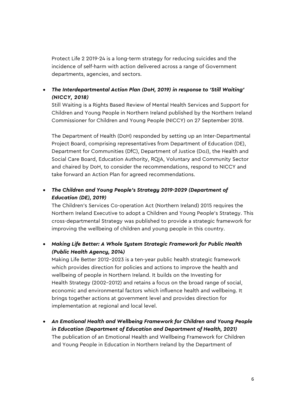Protect Life 2 2019-24 is a long-term strategy for reducing suicides and the incidence of self-harm with action delivered across a range of Government departments, agencies, and sectors.

• *The Interdepartmental Action Plan (DoH, 2019) in response to 'Still Waiting' (NICCY, 2018)* 

Still Waiting is a Rights Based Review of Mental Health Services and Support for Children and Young People in Northern Ireland published by the Northern Ireland Commissioner for Children and Young People (NICCY) on 27 September 2018.

The Department of Health (DoH) responded by setting up an Inter-Departmental Project Board, comprising representatives from Department of Education (DE), Department for Communities (DfC), Department of Justice (DoJ), the Health and Social Care Board, Education Authority, RQIA, Voluntary and Community Sector and chaired by DoH, to consider the recommendations, respond to NICCY and take forward an Action Plan for agreed recommendations.

### • *The Children and Young People's Strategy 2019-2029 (Department of Education (DE), 2019)*

The Children's Services Co-operation Act (Northern Ireland) 2015 requires the Northern Ireland Executive to adopt a Children and Young People's Strategy. This cross-departmental Strategy was published to provide a strategic framework for improving the wellbeing of children and young people in this country.

### • *Making Life Better: A Whole System Strategic Framework for Public Health (Public Health Agency, 2014)*

Making Life Better 2012–2023 is a ten-year public health strategic framework which provides direction for policies and actions to improve the health and wellbeing of people in Northern Ireland. It builds on the Investing for Health Strategy (2002–2012) and retains a focus on the broad range of social, economic and environmental factors which influence health and wellbeing. It brings together actions at government level and provides direction for implementation at regional and local level.

• *An Emotional Health and Wellbeing Framework for Children and Young People in Education (Department of Education and Department of Health, 2021)* The publication of an Emotional Health and Wellbeing Framework for Children and Young People in Education in Northern Ireland by the Department of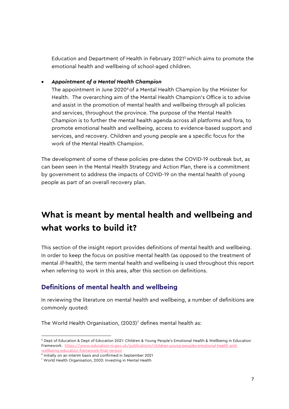Education and Department of Health in February 2021[5](#page-7-2)which aims to promote the emotional health and wellbeing of school-aged children.

#### • *Appointment of a Mental Health Champion*

The appointment in June 2020 $6$  of a Mental Health Champion by the Minister for Health. The overarching aim of the Mental Health Champion's Office is to advise and assist in the promotion of mental health and wellbeing through all policies and services, throughout the province. The purpose of the Mental Health Champion is to further the mental health agenda across all platforms and fora, to promote emotional health and wellbeing, access to evidence-based support and services, and recovery. Children and young people are a specific focus for the work of the Mental Health Champion.

The development of some of these policies pre-dates the COVID-19 outbreak but, as can been seen in the Mental Health Strategy and Action Plan, there is a commitment by government to address the impacts of COVID-19 on the mental health of young people as part of an overall recovery plan.

# <span id="page-7-0"></span>**What is meant by mental health and wellbeing and what works to build it?**

This section of the insight report provides definitions of mental health and wellbeing. In order to keep the focus on positive mental health (as opposed to the treatment of mental *ill*-health), the term mental health and wellbeing is used throughout this report when referring to work in this area, after this section on definitions.

### <span id="page-7-1"></span>**Definitions of mental health and wellbeing**

In reviewing the literature on mental health and wellbeing, a number of definitions are commonly quoted:

The World Health Organisation,  $(2003)^7$  $(2003)^7$  defines mental health as:

-

<span id="page-7-2"></span><sup>5</sup> Dept of Education & Dept of Education 2021: Children & Young People's Emotional Health & Wellbeing in Education Framework. [https://www.education-ni.gov.uk/publications/children-young-peoples-emotional-health-and](https://www.education-ni.gov.uk/publications/children-young-peoples-emotional-health-and-wellbeing-education-framework-final-version)[wellbeing-education-framework-final-version](https://www.education-ni.gov.uk/publications/children-young-peoples-emotional-health-and-wellbeing-education-framework-final-version)

<span id="page-7-4"></span><span id="page-7-3"></span> $6$  Initially on an interim basis and confirmed in September 2021

<sup>7</sup> World Health Organisation, 2003: Investing in Mental Health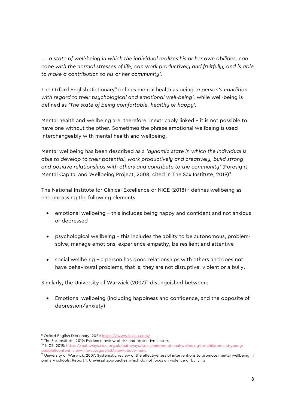'... *a state of well-being in which the individual realizes his or her own abilities, can cope with the normal stresses of life, can work productively and fruitfully, and is able to make a contribution to his or her community'.*

The Oxford English Dictionary[8](#page-8-0) defines mental health as being *'a person's condition with regard to their psychological and emotional well-being',* while well-being is defined as *'The state of being comfortable, healthy or happy'.* 

Mental health and wellbeing are, therefore, inextricably linked – it is not possible to have one without the other. Sometimes the phrase emotional wellbeing is used interchangeably with mental health and wellbeing.

Mental wellbeing has been described as a *'dynamic state in which the individual is able to develop to their potential, work productively and creatively, build strong and positive relationships with others and contribute to the community'* (Foresight Mental Capital and Wellbeing Project, 2008, cited in The Sax Institute, 201[9](#page-8-1))<sup>9</sup>.

The National Institute for Clinical Excellence or NICE (2018)<sup>[10](#page-8-2)</sup> defines wellbeing as encompassing the following elements:

- emotional wellbeing this includes being happy and confident and not anxious or depressed
- psychological wellbeing this includes the ability to be autonomous, problemsolve, manage emotions, experience empathy, be resilient and attentive
- social wellbeing a person has good relationships with others and does not have behavioural problems, that is, they are not disruptive, violent or a bully.

Similarly, the University of Warwick  $(2007)^{11}$  $(2007)^{11}$  $(2007)^{11}$  distinguished between:

• Emotional wellbeing (including happiness and confidence, and the opposite of depression/anxiety)

<span id="page-8-0"></span>8 Oxford English Dictionary, 2021:<https://www.lexico.com/>

<span id="page-8-1"></span><sup>9</sup> The Sax Institute, 2019: Evidence review of risk and protective factors

<span id="page-8-2"></span><sup>&</sup>lt;sup>10</sup> NICE, 2018[: https://pathways.nice.org.uk/pathways/social-and-emotional-wellbeing-for-children-and-young](https://pathways.nice.org.uk/pathways/social-and-emotional-wellbeing-for-children-and-young-people#content=view-info-category%3Aview-about-menu)[people#content=view-info-category%3Aview-about-menu](https://pathways.nice.org.uk/pathways/social-and-emotional-wellbeing-for-children-and-young-people#content=view-info-category%3Aview-about-menu)

<span id="page-8-3"></span><sup>&</sup>lt;sup>11</sup> University of Warwick, 2007: Systematic review of the effectiveness of interventions to promote mental wellbeing in primary schools. Report 1: Universal approaches which do not focus on violence or bullying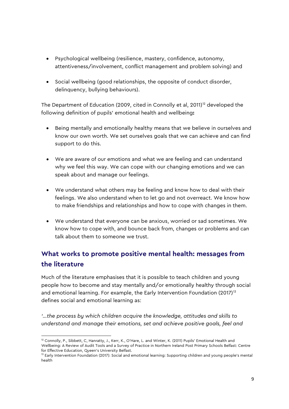- Psychological wellbeing (resilience, mastery, confidence, autonomy, attentiveness/involvement, conflict management and problem solving) and
- Social wellbeing (good relationships, the opposite of conduct disorder, delinquency, bullying behaviours).

The Department of Education (2009, cited in Connolly et al, 2011)<sup>[12](#page-9-1)</sup> developed the following definition of pupils' emotional health and wellbeing**:** 

- Being mentally and emotionally healthy means that we believe in ourselves and know our own worth. We set ourselves goals that we can achieve and can find support to do this.
- We are aware of our emotions and what we are feeling and can understand why we feel this way. We can cope with our changing emotions and we can speak about and manage our feelings.
- We understand what others may be feeling and know how to deal with their feelings. We also understand when to let go and not overreact. We know how to make friendships and relationships and how to cope with changes in them.
- We understand that everyone can be anxious, worried or sad sometimes. We know how to cope with, and bounce back from, changes or problems and can talk about them to someone we trust.

## <span id="page-9-0"></span>**What works to promote positive mental health: messages from the literature**

Much of the literature emphasises that it is possible to teach children and young people how to become and stay mentally and/or emotionally healthy through social and emotional learning. For example, the Early Intervention Foundation  $(2017)^{13}$  $(2017)^{13}$  $(2017)^{13}$ defines social and emotional learning as:

*'…the process by which children acquire the knowledge, attitudes and skills to understand and manage their emotions, set and achieve positive goals, feel and* 

-

<span id="page-9-1"></span><sup>&</sup>lt;sup>12</sup> Connolly, P., Sibbett, C, Hanratty, J., Kerr, K., O'Hare, L. and Winter, K. (2011) Pupils' Emotional Health and Wellbeing: A Review of Audit Tools and a Survey of Practice in Northern Ireland Post Primary Schools Belfast: Centre for Effective Education, Queen's University Belfast.

<span id="page-9-2"></span><sup>&</sup>lt;sup>13</sup> Early Intervention Foundation (2017): Social and emotional learning: Supporting children and young people's mental health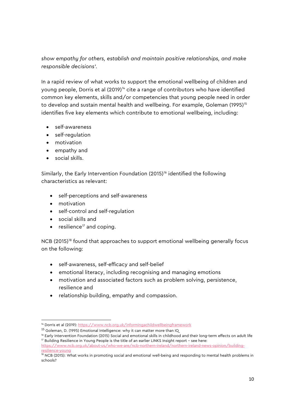### *show empathy for others, establish and maintain positive relationships, and make responsible decisions'.*

In a rapid review of what works to support the emotional wellbeing of children and young people, Dorris et al (2019)<sup>[14](#page-10-0)</sup> cite a range of contributors who have identified common key elements, skills and/or competencies that young people need in order to develop and sustain mental health and wellbeing. For example, Goleman (1995)<sup>[15](#page-10-1)</sup> identifies five key elements which contribute to emotional wellbeing, including:

- self-awareness
- self-regulation
- motivation
- empathy and
- social skills.

Similarly, the Early Intervention Foundation  $(2015)^{16}$  $(2015)^{16}$  $(2015)^{16}$  identified the following characteristics as relevant:

- self-perceptions and self-awareness
- motivation

-

- self-control and self-regulation
- social skills and
- $\bullet$  resilience<sup>17</sup> and coping.

NCB (2015)<sup>[18](#page-10-4)</sup> found that approaches to support emotional wellbeing generally focus on the following:

- self-awareness, self-efficacy and self-belief
- emotional literacy, including recognising and managing emotions
- motivation and associated factors such as problem solving, persistence, resilience and
- relationship building, empathy and compassion.

<span id="page-10-0"></span><sup>&</sup>lt;sup>14</sup> Dorris et al (2019): [https://www.ncb.org.uk/informingachildwellbeingframework](https://eur02.safelinks.protection.outlook.com/?url=https%3A%2F%2Fwww.ncb.org.uk%2Finformingachildwellbeingframework&data=02%7C01%7CTGeraghty%40ncb.org.uk%7C551e189b8b0845e238b808d859539081%7Cadc87355e29c4519954f95e35c776178%7C0%7C0%7C637357562719716524&sdata=zx7gD2uoJ9TOra5COTmLC%2F%2BChY55Y%2F%2BCHzPQER1NPR0%3D&reserved=0)

<sup>&</sup>lt;sup>15</sup> Goleman, D. (1995) Emotional Intelligence: why it can matter more than IQ

<span id="page-10-3"></span><span id="page-10-2"></span><span id="page-10-1"></span><sup>&</sup>lt;sup>16</sup> Early Intervention Foundation (2015) Social and emotional skills in childhood and their long-term effects on adult life <sup>17</sup> Building Resilience in Young People is the title of an earlier LINKS Insight report - see here:

[https://www.ncb.org.uk/about-us/who-we-are/ncb-northern-ireland/northern-ireland-news-opinion/building](https://www.ncb.org.uk/about-us/who-we-are/ncb-northern-ireland/northern-ireland-news-opinion/building-resilience-young)[resilience-young](https://www.ncb.org.uk/about-us/who-we-are/ncb-northern-ireland/northern-ireland-news-opinion/building-resilience-young)

<span id="page-10-4"></span><sup>&</sup>lt;sup>18</sup> NCB (2015): What works in promoting social and emotional well-being and responding to mental health problems in schools?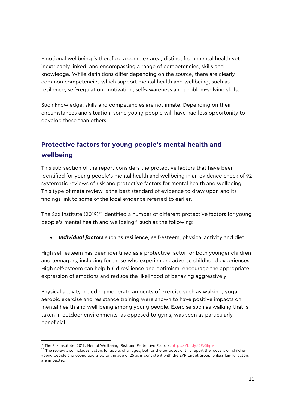Emotional wellbeing is therefore a complex area, distinct from mental health yet inextricably linked, and encompassing a range of competencies, skills and knowledge. While definitions differ depending on the source, there are clearly common competencies which support mental health and wellbeing, such as resilience, self-regulation, motivation, self-awareness and problem-solving skills.

Such knowledge, skills and competencies are not innate. Depending on their circumstances and situation, some young people will have had less opportunity to develop these than others.

### <span id="page-11-0"></span>**Protective factors for young people's mental health and wellbeing**

This sub-section of the report considers the protective factors that have been identified for young people's mental health and wellbeing in an evidence check of 92 systematic reviews of risk and protective factors for mental health and wellbeing. This type of meta review is the best standard of evidence to draw upon and its findings link to some of the local evidence referred to earlier.

The Sax Institute (20[19](#page-11-1))<sup>19</sup> identified a number of different protective factors for young people's mental health and wellbeing<sup>[20](#page-11-2)</sup> such as the following:

• *Individual factors* such as resilience, self-esteem, physical activity and diet

High self-esteem has been identified as a protective factor for both younger children and teenagers, including for those who experienced adverse childhood experiences. High self-esteem can help build resilience and optimism, encourage the appropriate expression of emotions and reduce the likelihood of behaving aggressively.

Physical activity including moderate amounts of exercise such as walking, yoga, aerobic exercise and resistance training were shown to have positive impacts on mental health and well-being among young people. Exercise such as walking that is taken in outdoor environments, as opposed to gyms, was seen as particularly beneficial.

-

<span id="page-11-1"></span><sup>&</sup>lt;sup>19</sup> The Sax Institute, 2019: Mental Wellbeing: Risk and Protective Factors:<https://bit.ly/2Fv3hpV>

<span id="page-11-2"></span> $20$  The review also includes factors for adults of all ages, but for the purposes of this report the focus is on children, young people and young adults up to the age of 25 as is consistent with the EYP target group, unless family factors are impacted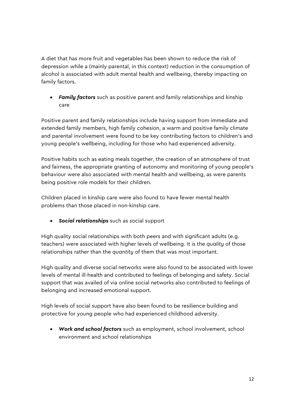A diet that has more fruit and vegetables has been shown to reduce the risk of depression while a (mainly parental, in this context) reduction in the consumption of alcohol is associated with adult mental health and wellbeing, thereby impacting on family factors.

• *Family factors* such as positive parent and family relationships and kinship care

Positive parent and family relationships include having support from immediate and extended family members, high family cohesion, a warm and positive family climate and parental involvement were found to be key contributing factors to children's and young people's wellbeing, including for those who had experienced adversity.

Positive habits such as eating meals together, the creation of an atmosphere of trust and fairness, the appropriate granting of autonomy and monitoring of young people's behaviour were also associated with mental health and wellbeing, as were parents being positive role models for their children.

Children placed in kinship care were also found to have fewer mental health problems than those placed in non-kinship care.

• *Social relationships* such as *s*ocial support

High quality social relationships with both peers and with significant adults (e.g. teachers) were associated with higher levels of wellbeing. It is the *quality* of those relationships rather than the *quantity* of them that was most important.

High quality and diverse social networks were also found to be associated with lower levels of mental ill-health and contributed to feelings of belonging and safety. Social support that was availed of via online social networks also contributed to feelings of belonging and increased emotional support.

High levels of social support have also been found to be resilience-building and protective for young people who had experienced childhood adversity.

• *Work and school factors* such as employment, school involvement, school environment and school relationships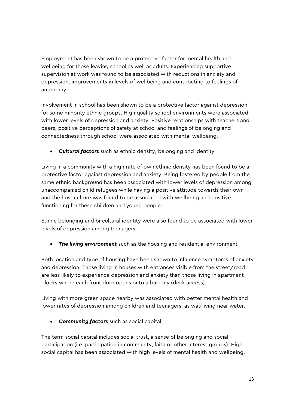Employment has been shown to be a protective factor for mental health and wellbeing for those leaving school as well as adults. Experiencing supportive supervision at work was found to be associated with reductions in anxiety and depression, improvements in levels of wellbeing and contributing to feelings of autonomy.

Involvement in school has been shown to be a protective factor against depression for some minority ethnic groups. High quality school environments were associated with lower levels of depression and anxiety. Positive relationships with teachers and peers, positive perceptions of safety at school and feelings of belonging and connectedness through school were associated with mental wellbeing.

• *Cultural factors* such as ethnic density, belonging and identity

Living in a community with a high rate of own ethnic density has been found to be a protective factor against depression and anxiety. Being fostered by people from the same ethnic background has been associated with lower levels of depression among unaccompanied child refugees while having a positive attitude towards their own and the host culture was found to be associated with wellbeing and positive functioning for these children and young people.

Ethnic belonging and bi-cultural identity were also found to be associated with lower levels of depression among teenagers.

• *The living environment* such as the housing and residential environment

Both location and type of housing have been shown to influence symptoms of anxiety and depression. Those living in houses with entrances visible from the street/road are less likely to experience depression and anxiety than those living in apartment blocks where each front door opens onto a balcony (deck access).

Living with more green space nearby was associated with better mental health and lower rates of depression among children and teenagers, as was living near water.

• *Community factors* such as social capital

The term social capital includes social trust, a sense of belonging and social participation (i.e. participation in community, faith or other interest groups). High social capital has been associated with high levels of mental health and wellbeing.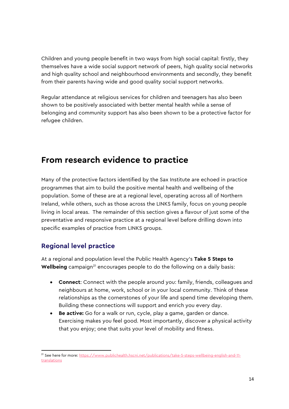Children and young people benefit in two ways from high social capital: firstly, they themselves have a wide social support network of peers, high quality social networks and high quality school and neighbourhood environments and secondly, they benefit from their parents having wide and good quality social support networks.

Regular attendance at religious services for children and teenagers has also been shown to be positively associated with better mental health while a sense of belonging and community support has also been shown to be a protective factor for refugee children.

# <span id="page-14-0"></span>**From research evidence to practice**

Many of the protective factors identified by the Sax Institute are echoed in practice programmes that aim to build the positive mental health and wellbeing of the population. Some of these are at a regional level, operating across all of Northern Ireland, while others, such as those across the LINKS family, focus on young people living in local areas. The remainder of this section gives a flavour of just some of the preventative and responsive practice at a regional level before drilling down into specific examples of practice from LINKS groups.

### <span id="page-14-1"></span>**Regional level practice**

-

At a regional and population level the Public Health Agency's **Take 5 Steps to Wellbeing** campaign<sup>[21](#page-14-2)</sup> encourages people to do the following on a daily basis:

- **Connect**: Connect with the people around you: family, friends, colleagues and neighbours at home, work, school or in your local community. Think of these relationships as the cornerstones of your life and spend time developing them. Building these connections will support and enrich you every day.
- **Be active:** Go for a walk or run, cycle, play a game, garden or dance. Exercising makes you feel good. Most importantly, discover a physical activity that you enjoy; one that suits your level of mobility and fitness.

<span id="page-14-2"></span><sup>21</sup> See here for more: [https://www.publichealth.hscni.net/publications/take-5-steps-wellbeing-english-and-11](https://www.publichealth.hscni.net/publications/take-5-steps-wellbeing-english-and-11-translations) [translations](https://www.publichealth.hscni.net/publications/take-5-steps-wellbeing-english-and-11-translations)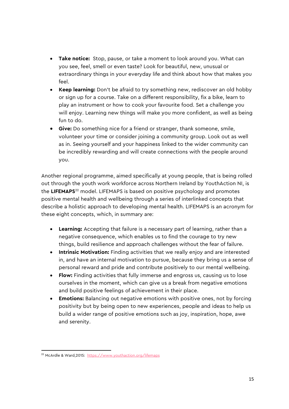- **Take notice:** Stop, pause, or take a moment to look around you. What can you see, feel, smell or even taste? Look for beautiful, new, unusual or extraordinary things in your everyday life and think about how that makes you feel.
- **Keep learning:** Don't be afraid to try something new, rediscover an old hobby or sign up for a course. Take on a different responsibility, fix a bike, learn to play an instrument or how to cook your favourite food. Set a challenge you will enjoy. Learning new things will make you more confident, as well as being fun to do.
- **Give:** Do something nice for a friend or stranger, thank someone, smile, volunteer your time or consider joining a community group. Look out as well as in. Seeing yourself and your happiness linked to the wider community can be incredibly rewarding and will create connections with the people around you.

Another regional programme, aimed specifically at young people, that is being rolled out through the youth work workforce across Northern Ireland by YouthAction NI, is the **LIFEMAPS**[22](#page-15-0) model. LIFEMAPS is based on positive psychology and promotes positive mental health and wellbeing through a series of interlinked concepts that describe a holistic approach to developing mental health. LIFEMAPS is an acronym for these eight concepts, which, in summary are:

- **Learning:** Accepting that failure is a necessary part of learning, rather than a negative consequence, which enables us to find the courage to try new things, build resilience and approach challenges without the fear of failure.
- **Intrinsic Motivation:** Finding activities that we really enjoy and are interested in, and have an internal motivation to pursue, because they bring us a sense of personal reward and pride and contribute positively to our mental wellbeing.
- **Flow:** Finding activities that fully immerse and engross us, causing us to lose ourselves in the moment, which can give us a break from negative emotions and build positive feelings of achievement in their place.
- **Emotions:** Balancing out negative emotions with positive ones, not by forcing positivity but by being open to new experiences, people and ideas to help us build a wider range of positive emotions such as joy, inspiration, hope, awe and serenity.

<span id="page-15-0"></span><sup>-</sup><sup>22</sup> McArdle & Ward,2015:<https://www.youthaction.org/lifemaps>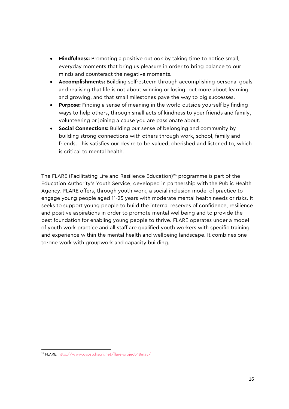- **Mindfulness:** Promoting a positive outlook by taking time to notice small, everyday moments that bring us pleasure in order to bring balance to our minds and counteract the negative moments.
- **Accomplishments:** Building self-esteem through accomplishing personal goals and realising that life is not about winning or losing, but more about learning and growing, and that small milestones pave the way to big successes.
- **Purpose:** Finding a sense of meaning in the world outside yourself by finding ways to help others, through small acts of kindness to your friends and family, volunteering or joining a cause you are passionate about.
- **Social Connections:** Building our sense of belonging and community by building strong connections with others through work, school, family and friends. This satisfies our desire to be valued, cherished and listened to, which is critical to mental health.

The FLARE (Facilitating Life and Resilience Education)<sup>[23](#page-16-0)</sup> programme is part of the Education Authority's Youth Service, developed in partnership with the Public Health Agency. FLARE offers, through youth work, a social inclusion model of practice to engage young people aged 11-25 years with moderate mental health needs or risks. It seeks to support young people to build the internal reserves of confidence, resilience and positive aspirations in order to promote mental wellbeing and to provide the best foundation for enabling young people to thrive. FLARE operates under a model of youth work practice and all staff are qualified youth workers with specific training and experience within the mental health and wellbeing landscape. It combines oneto-one work with groupwork and capacity building.

-

<span id="page-16-0"></span><sup>23</sup> FLARE[: http://www.cypsp.hscni.net/flare-project-18may/](http://www.cypsp.hscni.net/flare-project-18may/)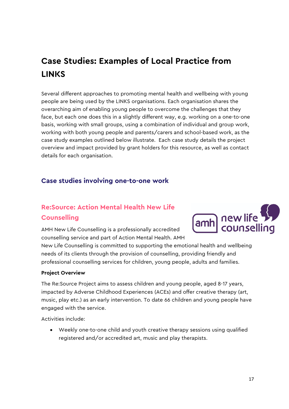# <span id="page-17-0"></span>**Case Studies: Examples of Local Practice from LINKS**

Several different approaches to promoting mental health and wellbeing with young people are being used by the LINKS organisations. Each organisation shares the overarching aim of enabling young people to overcome the challenges that they face, but each one does this in a slightly different way, e.g. working on a one-to-one basis, working with small groups, using a combination of individual and group work, working with both young people and parents/carers and school-based work, as the case study examples outlined below illustrate. Each case study details the project overview and impact provided by grant holders for this resource, as well as contact details for each organisation.

### <span id="page-17-1"></span>**Case studies involving one-to-one work**

### **Re:Source: Action Mental Health New Life Counselling**

AMH New Life Counselling is a professionally accredited counselling service and part of Action Mental Health. AMH



New Life Counselling is committed to supporting the emotional health and wellbeing needs of its clients through the provision of counselling, providing friendly and professional counselling services for children, young people, adults and families.

#### **Project Overview**

The Re:Source Project aims to assess children and young people, aged 8-17 years, impacted by Adverse Childhood Experiences (ACEs) and offer creative therapy (art, music, play etc.) as an early intervention. To date 66 children and young people have engaged with the service.

Activities include:

• Weekly one-to-one child and youth creative therapy sessions using qualified registered and/or accredited art, music and play therapists.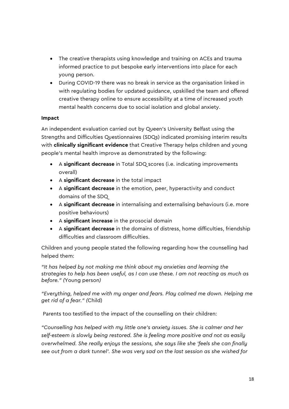- The creative therapists using knowledge and training on ACEs and trauma informed practice to put bespoke early interventions into place for each young person.
- During COVID-19 there was no break in service as the organisation linked in with regulating bodies for updated guidance, upskilled the team and offered creative therapy online to ensure accessibility at a time of increased youth mental health concerns due to social isolation and global anxiety.

### **Impact**

An independent evaluation carried out by Queen's University Belfast using the Strengths and Difficulties Questionnaires (SDQs) indicated promising interim results with **clinically significant evidence** that Creative Therapy helps children and young people's mental health improve as demonstrated by the following:

- A **significant decrease** in Total SDQ scores (i.e. indicating improvements overall)
- A **significant decrease** in the total impact
- A **significant decrease** in the emotion, peer, hyperactivity and conduct domains of the SDQ
- A **significant decrease** in internalising and externalising behaviours (i.e. more positive behaviours)
- A **significant increase** in the prosocial domain
- A **significant decrease** in the domains of distress, home difficulties, friendship difficulties and classroom difficulties.

Children and young people stated the following regarding how the counselling had helped them:

*"It has helped by not making me think about my anxieties and learning the strategies to help has been useful, as I can use these. I am not reacting as much as before." (*Young person*)*

*"Everything, helped me with my anger and fears. Play calmed me down. Helping me get rid of a fear." (*Child)

Parents too testified to the impact of the counselling on their children:

*"Counselling has helped with my little one's anxiety issues. She is calmer and her self-esteem is slowly being restored. She is feeling more positive and not as easily overwhelmed. She really enjoys the sessions, she says like she 'feels she can finally see out from a dark tunnel'. She was very sad on the last session as she wished for*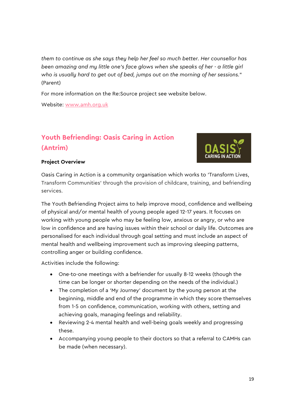*them to continue as she says they help her feel so much better. Her counsellor has been amazing and my little one's face glows when she speaks of her - a little girl who is usually hard to get out of bed, jumps out on the morning of her sessions.*" (Parent)

For more information on the Re:Source project see website below.

Website: [www.amh.org.uk](http://www.amh.org.uk/)

### **Youth Befriending: Oasis Caring in Action (Antrim)**



#### **Project Overview**

Oasis Caring in Action is a community organisation which works to 'Transform Lives, Transform Communities' through the provision of childcare, training, and befriending services.

The Youth Befriending Project aims to help improve mood, confidence and wellbeing of physical and/or mental health of young people aged 12-17 years. It focuses on working with young people who may be feeling low, anxious or angry, or who are low in confidence and are having issues within their school or daily life. Outcomes are personalised for each individual through goal setting and must include an aspect of mental health and wellbeing improvement such as improving sleeping patterns, controlling anger or building confidence.

Activities include the following:

- One-to-one meetings with a befriender for usually 8-12 weeks (though the time can be longer or shorter depending on the needs of the individual.)
- The completion of a 'My Journey' document by the young person at the beginning, middle and end of the programme in which they score themselves from 1-5 on confidence, communication, working with others, setting and achieving goals, managing feelings and reliability.
- Reviewing 2-4 mental health and well-being goals weekly and progressing these.
- Accompanying young people to their doctors so that a referral to CAMHs can be made (when necessary).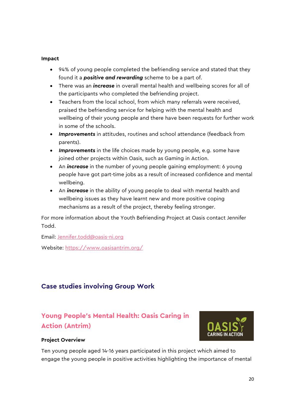#### **Impact**

- 94% of young people completed the befriending service and stated that they found it a *positive and rewarding* scheme to be a part of.
- There was an *increase* in overall mental health and wellbeing scores for all of the participants who completed the befriending project.
- Teachers from the local school, from which many referrals were received, praised the befriending service for helping with the mental health and wellbeing of their young people and there have been requests for further work in some of the schools.
- *Improvements* in attitudes, routines and school attendance (feedback from parents).
- *Improvements* in the life choices made by young people, e.g. some have joined other projects within Oasis, such as Gaming in Action.
- An *increase* in the number of young people gaining employment: 6 young people have got part-time jobs as a result of increased confidence and mental wellbeing.
- An *increase* in the ability of young people to deal with mental health and wellbeing issues as they have learnt new and more positive coping mechanisms as a result of the project, thereby feeling stronger.

For more information about the Youth Befriending Project at Oasis contact Jennifer Todd.

Email: [Jennifer.todd@oasis-ni.org](mailto:Jennifer.todd@oasis-ni.org) Website: <https://www.oasisantrim.org/>

### <span id="page-20-0"></span>**Case studies involving Group Work**

### **Young People's Mental Health: Oasis Caring in Action (Antrim)**



### **Project Overview**

Ten young people aged 14-16 years participated in this project which aimed to engage the young people in positive activities highlighting the importance of mental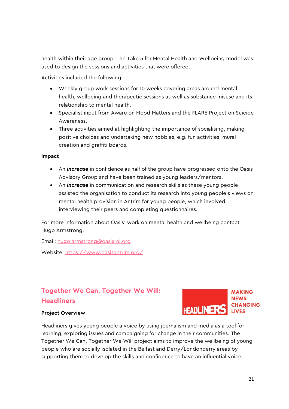health within their age group. The Take 5 for Mental Health and Wellbeing model was used to design the sessions and activities that were offered.

Activities included the following:

- Weekly group work sessions for 10 weeks covering areas around mental health, wellbeing and therapeutic sessions as well as substance misuse and its relationship to mental health.
- Specialist input from Aware on Mood Matters and the FLARE Project on Suicide Awareness.
- Three activities aimed at highlighting the importance of socialising, making positive choices and undertaking new hobbies, e.g. fun activities, mural creation and graffiti boards.

#### **Impact**

- An *increase* in confidence as half of the group have progressed onto the Oasis Advisory Group and have been trained as young leaders/mentors.
- An *increase* in communication and research skills as these young people assisted the organisation to conduct its research into young people's views on mental health provision in Antrim for young people, which involved interviewing their peers and completing questionnaires.

For more information about Oasis' work on mental health and wellbeing contact Hugo Armstrong.

Email: [hugo.armstrong@oasis-ni.org](mailto:hugo.armstrong@oasis-ni.org) Website:<https://www.oasisantrim.org/>

### **Together We Can, Together We Will: Headliners**



#### **Project Overview**

Headliners gives young people a voice by using journalism and media as a tool for learning, exploring issues and campaigning for change in their communities. The Together We Can, Together We Will project aims to improve the wellbeing of young people who are socially isolated in the Belfast and Derry/Londonderry areas by supporting them to develop the skills and confidence to have an influential voice,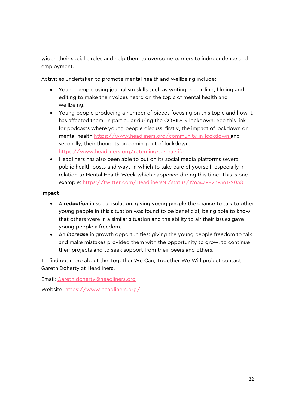widen their social circles and help them to overcome barriers to independence and employment.

Activities undertaken to promote mental health and wellbeing include:

- Young people using journalism skills such as writing, recording, filming and editing to make their voices heard on the topic of mental health and wellbeing.
- Young people producing a number of pieces focusing on this topic and how it has affected them, in particular during the COVID-19 lockdown. See this link for podcasts where young people discuss, firstly, the impact of lockdown on mental health<https://www.headliners.org/community-in-lockdown> and secondly, their thoughts on coming out of lockdown: <https://www.headliners.org/returning-to-real-life>
- Headliners has also been able to put on its social media platforms several public health posts and ways in which to take care of yourself, especially in relation to Mental Health Week which happened during this time. This is one example:<https://twitter.com/HeadlinersNI/status/1263479823936172038>

### **Impact**

- A *reduction* in social isolation: giving young people the chance to talk to other young people in this situation was found to be beneficial, being able to know that others were in a similar situation and the ability to air their issues gave young people a freedom.
- An *increase* in growth opportunities: giving the young people freedom to talk and make mistakes provided them with the opportunity to grow, to continue their projects and to seek support from their peers and others.

To find out more about the Together We Can, Together We Will project contact Gareth Doherty at Headliners.

Email: [Gareth.doherty@headliners.org](mailto:Gareth.doherty@headliners.org)

Website: <https://www.headliners.org/>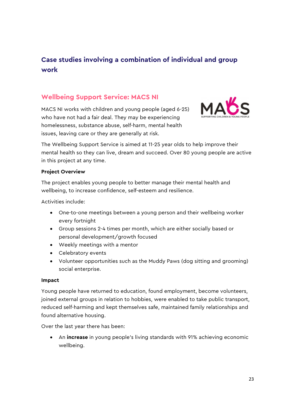### <span id="page-23-0"></span>**Case studies involving a combination of individual and group work**

### **Wellbeing Support Service: MACS NI**

MACS NI works with children and young people (aged 6-25) who have not had a fair deal. They may be experiencing homelessness, substance abuse, self-harm, mental health issues, leaving care or they are generally at risk.



The Wellbeing Support Service is aimed at 11-25 year olds to help improve their mental health so they can live, dream and succeed. Over 80 young people are active in this project at any time.

#### **Project Overview**

The project enables young people to better manage their mental health and wellbeing, to increase confidence, self-esteem and resilience.

Activities include:

- One-to-one meetings between a young person and their wellbeing worker every fortnight
- Group sessions 2-4 times per month, which are either socially based or personal development/growth focused
- Weekly meetings with a mentor
- Celebratory events
- Volunteer opportunities such as the Muddy Paws (dog sitting and grooming) social enterprise.

#### **Impact**

Young people have returned to education, found employment, become volunteers, joined external groups in relation to hobbies, were enabled to take public transport, reduced self-harming and kept themselves safe, maintained family relationships and found alternative housing.

Over the last year there has been:

• An **increase** in young people's living standards with 91% achieving economic wellbeing.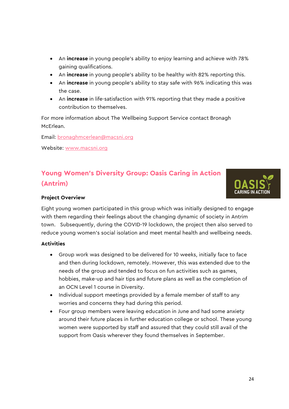- An **increase** in young people's ability to enjoy learning and achieve with 78% gaining qualifications.
- An **increase** in young people's ability to be healthy with 82% reporting this.
- An **increase** in young people's ability to stay safe with 96% indicating this was the case.
- An **increase** in life-satisfaction with 91% reporting that they made a positive contribution to themselves.

For more information about The Wellbeing Support Service contact Bronagh McErlean.

Email: [bronaghmcerlean@macsni.org](mailto:bronaghmcerlean@macsni.org)

Website: [www.macsni.org](http://www.macsni.org/)

### **Young Women's Diversity Group: Oasis Caring in Action (Antrim)**



### **Project Overview**

Eight young women participated in this group which was initially designed to engage with them regarding their feelings about the changing dynamic of society in Antrim town. Subsequently, during the COVID-19 lockdown, the project then also served to reduce young women's social isolation and meet mental health and wellbeing needs.

#### **Activities**

- Group work was designed to be delivered for 10 weeks, initially face to face and then during lockdown, remotely. However, this was extended due to the needs of the group and tended to focus on fun activities such as games, hobbies, make-up and hair tips and future plans as well as the completion of an OCN Level 1 course in Diversity.
- Individual support meetings provided by a female member of staff to any worries and concerns they had during this period.
- Four group members were leaving education in June and had some anxiety around their future places in further education college or school. These young women were supported by staff and assured that they could still avail of the support from Oasis wherever they found themselves in September.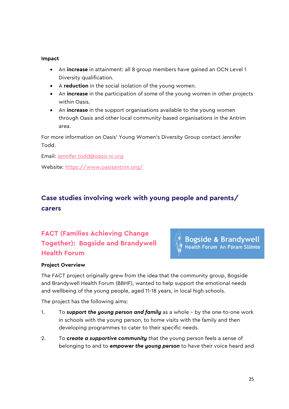#### **Impact**

- An **increase** in attainment: all 8 group members have gained an OCN Level 1 Diversity qualification.
- A **reduction** in the social isolation of the young women.
- An **increase** in the participation of some of the young women in other projects within Oasis.
- An **increase** in the support organisations available to the young women through Oasis and other local community-based organisations in the Antrim area.

For more information on Oasis' Young Women's Diversity Group contact Jennifer Todd.

Email: [Jennifer.todd@oasis-ni.org](mailto:Jennifer.todd@oasis-ni.org)

Website: <https://www.oasisantrim.org/>

### <span id="page-25-0"></span>**Case studies involving work with young people and parents/ carers**

### **FACT (Families Achieving Change Together): Bogside and Brandywell Health Forum**



### **Project Overview**

The FACT project originally grew from the idea that the community group, Bogside and Brandywell Health Forum (BBHF), wanted to help support the emotional needs and wellbeing of the young people, aged 11-18 years, in local high schools.

The project has the following aims:

- 1. To *support the young person and family* as a whole by the one-to-one work in schools with the young person, to home visits with the family and then developing programmes to cater to their specific needs.
- 2. To *create a supportive community* that the young person feels a sense of belonging to and to *empower the young person* to have their voice heard and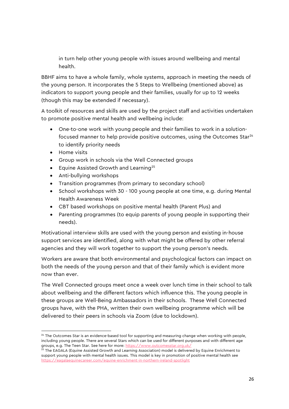in turn help other young people with issues around wellbeing and mental health.

BBHF aims to have a whole family, whole systems, approach in meeting the needs of the young person. It incorporates the 5 Steps to Wellbeing (mentioned above) as indicators to support young people and their families, usually for up to 12 weeks (though this may be extended if necessary).

A toolkit of resources and skills are used by the project staff and activities undertaken to promote positive mental health and wellbeing include:

- One-to-one work with young people and their families to work in a solutionfocused manner to help provide positive outcomes, using the Outcomes Star<sup>24</sup> to identify priority needs
- Home visits

-

- Group work in schools via the Well Connected groups
- Equine Assisted Growth and Learning<sup>[25](#page-26-1)</sup>
- Anti-bullying workshops
- Transition programmes (from primary to secondary school)
- School workshops with 30 100 young people at one time, e.g. during Mental Health Awareness Week
- CBT based workshops on positive mental health (Parent Plus) and
- Parenting programmes (to equip parents of young people in supporting their needs).

Motivational interview skills are used with the young person and existing in-house support services are identified, along with what might be offered by other referral agencies and they will work together to support the young person's needs.

Workers are aware that both environmental and psychological factors can impact on both the needs of the young person and that of their family which is evident more now than ever.

The Well Connected groups meet once a week over lunch time in their school to talk about wellbeing and the different factors which influence this. The young people in these groups are Well-Being Ambassadors in their schools. These Well Connected groups have, with the PHA, written their own wellbeing programme which will be delivered to their peers in schools via Zoom (due to lockdown).

<span id="page-26-0"></span> $24$  The Outcomes Star is an evidence-based tool for supporting and measuring change when working with people, including young people. There are several Stars which can be used for different purposes and with different age groups, e.g. The Teen Star. See here for more: <https://www.outcomesstar.org.uk/>

<span id="page-26-1"></span><sup>&</sup>lt;sup>25</sup> The EAGALA (Equine Assisted Growth and Learning Association) model is delivered by Equine Enrichment to support young people with mental health issues. This model is key in promotion of positive mental health see <https://eagalaequinecareer.com/equine-enrichment-in-northern-ireland-spotlight>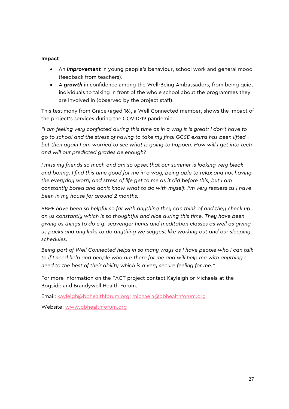#### **Impact**

- An *improvement* in young people's behaviour, school work and general mood (feedback from teachers).
- A *growth* in confidence among the Well-Being Ambassadors, from being quiet individuals to talking in front of the whole school about the programmes they are involved in (observed by the project staff).

This testimony from Grace (aged 16), a Well Connected member, shows the impact of the project's services during the COVID-19 pandemic:

*"I am feeling very conflicted during this time as in a way it is great: I don't have to go to school and the stress of having to take my final GCSE exams has been lifted but then again I am worried to see what is going to happen. How will I get into tech and will our predicted grades be enough?* 

*I miss my friends so much and am so upset that our summer is looking very bleak and boring. I find this time good for me in a way, being able to relax and not having the everyday worry and stress of life get to me as it did before this, but I am constantly bored and don't know what to do with myself. I'm very restless as I have been in my house for around 2 months.* 

*BBHF have been so helpful so far with anything they can think of and they check up on us constantly which is so thoughtful and nice during this time. They have been giving us things to do e.g. scavenger hunts and meditation classes as well as giving us packs and any links to do anything we suggest like working out and our sleeping schedules.* 

*Being part of Well Connected helps in so many ways as I have people who I can talk*  to if I need help and people who are there for me and will help me with anything I *need to the best of their ability which is a very secure feeling for me."*

For more information on the FACT project contact Kayleigh or Michaela at the Bogside and Brandywell Health Forum.

Email: [kayleigh@bbhealthforum.org;](mailto:kayleigh@bbhealthforum.org) [michaela@bbhealthforum.org](mailto:michaela@bbhealthforum.org)

Website: [www.bbhealthforum.org](http://www.bbhealthforum.org/)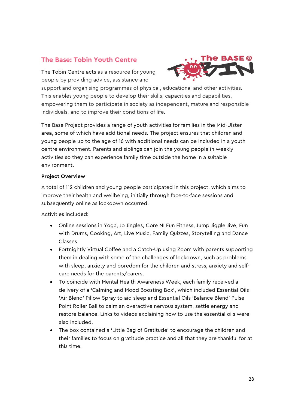### **The Base: Tobin Youth Centre**

The Tobin Centre acts as a resource for young people by providing advice, assistance and



support and organising programmes of physical, educational and other activities. This enables young people to develop their skills, capacities and capabilities, empowering them to participate in society as independent, mature and responsible individuals, and to improve their conditions of life.

The Base Project provides a range of youth activities for families in the Mid-Ulster area, some of which have additional needs. The project ensures that children and young people up to the age of 16 with additional needs can be included in a youth centre environment. Parents and siblings can join the young people in weekly activities so they can experience family time outside the home in a suitable environment.

#### **Project Overview**

A total of 112 children and young people participated in this project, which aims to improve their health and wellbeing, initially through face-to-face sessions and subsequently online as lockdown occurred.

Activities included:

- Online sessions in Yoga, Jo Jingles, Core NI Fun Fitness, Jump Jiggle Jive, Fun with Drums, Cooking, Art, Live Music, Family Quizzes, Storytelling and Dance Classes.
- Fortnightly Virtual Coffee and a Catch-Up using Zoom with parents supporting them in dealing with some of the challenges of lockdown, such as problems with sleep, anxiety and boredom for the children and stress, anxiety and selfcare needs for the parents/carers.
- To coincide with Mental Health Awareness Week, each family received a delivery of a 'Calming and Mood Boosting Box', which included Essential Oils 'Air Blend' Pillow Spray to aid sleep and Essential Oils 'Balance Blend' Pulse Point Roller Ball to calm an overactive nervous system, settle energy and restore balance. Links to videos explaining how to use the essential oils were also included.
- The box contained a 'Little Bag of Gratitude' to encourage the children and their families to focus on gratitude practice and all that they are thankful for at this time.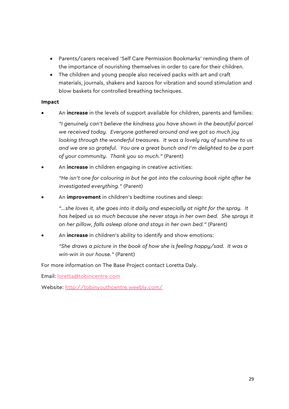- Parents/carers received 'Self Care Permission Bookmarks' reminding them of the importance of nourishing themselves in order to care for their children.
- The children and young people also received packs with art and craft materials, journals, shakers and kazoos for vibration and sound stimulation and blow baskets for controlled breathing techniques.

#### **Impact**

• An **increase** in the levels of support available for children, parents and families:

*"I genuinely can't believe the kindness you have shown in the beautiful parcel we received today. Everyone gathered around and we got so much joy looking through the wonderful treasures. It was a lovely ray of sunshine to us and we are so grateful. You are a great bunch and I'm delighted to be a part of your community. Thank you so much."* (Parent)

• An **increase** in children engaging in creative activities:

*"He isn't one for colouring in but he got into the colouring book right after he investigated everything."* (Parent)

• An **improvement** in children's bedtime routines and sleep:

*"…she loves it, she goes into it daily and especially at night for the spray. It has helped us so much because she never stays in her own bed. She sprays it on her pillow, falls asleep alone and stays in her own bed."* (Parent)

• An **increase** in children's ability to identify and show emotions:

*"She draws a picture in the book of how she is feeling happy/sad. It was a win-win in our house."* (Parent)

For more information on The Base Project contact Loretta Daly.

Email: [loretta@tobincentre.com](mailto:loretta@tobincentre.com)

Website:<http://tobinyouthcentre.weebly.com/>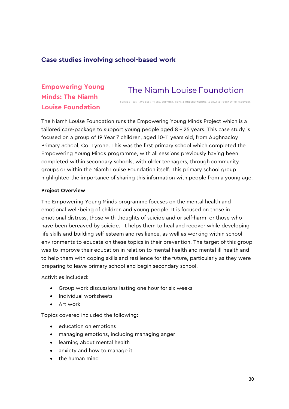### <span id="page-30-0"></span>**Case studies involving school-based work**

### **Empowering Young Minds: The Niamh Louise Foundation**

# The Niamh Louise Foundation

.<br>SUICIDE – WE HAVE REEN THERE, SUPPORT HOPE & UNDERSTANDING, A SHARED IOURNEY TO RECOVERY.

The Niamh Louise Foundation runs the Empowering Young Minds Project which is a tailored care-package to support young people aged 8 – 25 years. This case study is focused on a group of 19 Year 7 children, aged 10-11 years old, from Aughnacloy Primary School, Co. Tyrone. This was the first primary school which completed the Empowering Young Minds programme, with all sessions previously having been completed within secondary schools, with older teenagers, through community groups or within the Niamh Louise Foundation itself. This primary school group highlighted the importance of sharing this information with people from a young age.

#### **Project Overview**

The Empowering Young Minds programme focuses on the mental health and emotional well-being of children and young people. It is focused on those in emotional distress, those with thoughts of suicide and or self-harm, or those who have been bereaved by suicide. It helps them to heal and recover while developing life skills and building self-esteem and resilience, as well as working within school environments to educate on these topics in their prevention. The target of this group was to improve their education in relation to mental health and mental ill-health and to help them with coping skills and resilience for the future, particularly as they were preparing to leave primary school and begin secondary school.

Activities included:

- Group work discussions lasting one hour for six weeks
- Individual worksheets
- Art work

Topics covered included the following:

- education on emotions
- managing emotions, including managing anger
- learning about mental health
- anxiety and how to manage it
- the human mind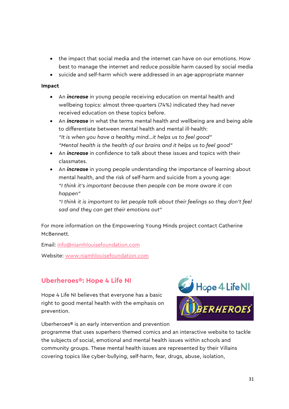- the impact that social media and the internet can have on our emotions. How best to manage the internet and reduce possible harm caused by social media
- suicide and self-harm which were addressed in an age-appropriate manner

#### **Impact**

- An *increase* in young people receiving education on mental health and wellbeing topics: almost three-quarters (74%) indicated they had never received education on these topics before.
- An *increase* in what the terms mental health and wellbeing are and being able to differentiate between mental health and mental ill-health: *"It is when you have a healthy mind…it helps us to feel good" "Mental health is the health of our brains and it helps us to feel good"*
- An *increase* in confidence to talk about these issues and topics with their classmates.
- An *increase* in young people understanding the importance of learning about mental health, and the risk of self-harm and suicide from a young age: *"I think it's important because then people can be more aware it can happen"*

*"I think it is important to let people talk about their feelings so they don't feel sad and they can get their emotions out"*

For more information on the Empowering Young Minds project contact Catherine McBennett.

Email: [info@niamhlouisefoundation.com](mailto:info@niamhlouisefoundation.com)

Website: [www.niamhlouisefoundation.com](http://www.niamhlouisefoundation.com/)

### **Uberheroes®: Hope 4 Life NI**

Hope 4 Life NI believes that everyone has a basic right to good mental health with the emphasis on prevention.

Uberheroes® is an early intervention and prevention



programme that uses superhero themed comics and an interactive website to tackle the subjects of social, emotional and mental health issues within schools and community groups. These mental health issues are represented by their Villains covering topics like cyber-bullying, self-harm, fear, drugs, abuse, isolation,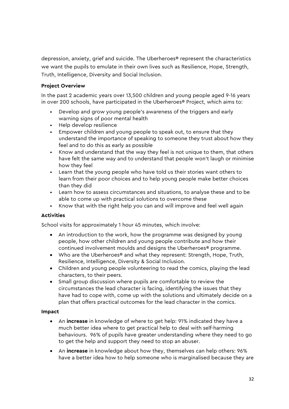depression, anxiety, grief and suicide. The Uberheroes® represent the characteristics we want the pupils to emulate in their own lives such as Resilience, Hope, Strength, Truth, Intelligence, Diversity and Social Inclusion.

### **Project Overview**

In the past 2 academic years over 13,500 children and young people aged 9-16 years in over 200 schools, have participated in the Uberheroes® Project, which aims to:

- Develop and grow young people's awareness of the triggers and early warning signs of poor mental health
- Help develop resilience
- Empower children and young people to speak out, to ensure that they understand the importance of speaking to someone they trust about how they feel and to do this as early as possible
- Know and understand that the way they feel is not unique to them, that others have felt the same way and to understand that people won't laugh or minimise how they feel
- Learn that the young people who have told us their stories want others to learn from their poor choices and to help young people make better choices than they did
- Learn how to assess circumstances and situations, to analyse these and to be able to come up with practical solutions to overcome these
- Know that with the right help you can and will improve and feel well again

#### **Activities**

School visits for approximately 1 hour 45 minutes, which involve:

- An introduction to the work, how the programme was designed by young people, how other children and young people contribute and how their continued involvement moulds and designs the Uberheroes® programme.
- Who are the Uberheroes® and what they represent: Strength, Hope, Truth, Resilience, Intelligence, Diversity & Social Inclusion.
- Children and young people volunteering to read the comics, playing the lead characters, to their peers.
- Small group discussion where pupils are comfortable to review the circumstances the lead character is facing, identifying the issues that they have had to cope with, come up with the solutions and ultimately decide on a plan that offers practical outcomes for the lead character in the comics.

#### **Impact**

- An **increase** in knowledge of where to get help: 91% indicated they have a much better idea where to get practical help to deal with self-harming behaviours. 96% of pupils have greater understanding where they need to go to get the help and support they need to stop an abuser.
- An **increase** in knowledge about how they, themselves can help others: 96% have a better idea how to help someone who is marginalised because they are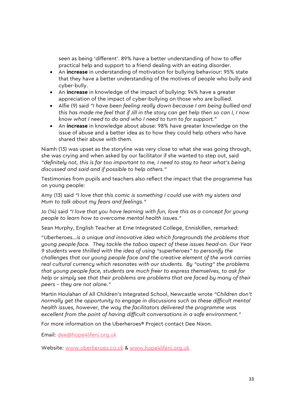seen as being 'different'. 89% have a better understanding of how to offer practical help and support to a friend dealing with an eating disorder.

- An **increase** in understanding of motivation for bullying behaviour: 95% state that they have a better understanding of the motives of people who bully and cyber-bully.
- An **increase** in knowledge of the impact of bullying: 94% have a greater appreciation of the impact of cyber-bullying on those who are bullied.
- Alfie (9) said *"I have been feeling really down because I am being bullied and this has made me feel that if Jill in the story can get help then so can I, I now know what I need to do and who I need to turn to for support."*
- An **increase** in knowledge about abuse: 98% have greater knowledge on the issue of abuse and a better idea as to how they could help others who have shared their abuse with them.

Niamh (13) was upset as the storyline was very close to what she was going through, she was crying and when asked by our facilitator if she wanted to step out, said *"definitely not, this is far too important to me, I need to stay to hear what's being discussed and said and if possible to help others."*

Testimonies from pupils and teachers also reflect the impact that the programme has on young people:

Amy (13) said *"I love that this comic is something I could use with my sisters and Mum to talk about my fears and feelings."* 

Jo (14) said *"I love that you have learning with fun, love this as a concept for young people to learn how to overcome mental health issues."* 

Sean Murphy, English Teacher at Erne Integrated College, Enniskillen, remarked:

"*Uberheroes…is a unique and innovative idea which foregrounds the problems that young people face. They tackle the taboo aspect of these issues head-on. Our Year 9 students were thrilled with the idea of using "superheroes" to personify the challenges that our young people face and the creative element of the work carries real cultural currency which resonates with our students. By "outing" the problems that young people face, students are much freer to express themselves, to ask for help or simply see that their problems are problems that are faced by many of their peers – they are not alone."*

Martin Houlahan of All Children's Integrated School, Newcastle wrote *"Children don't normally get the opportunity to engage in discussions such as these difficult mental health issues, however, the way the facilitators delivered the programme was excellent from the point of having difficult conversations in a safe environment."*

For more information on the Uberheroes® Project contact Dee Nixon.

Email: [dee@hope4lifeni.org.uk](mailto:dee@hope4lifeni.org.uk)

Website: [www.uberheroes.co.uk](http://www.uberheroes.co.uk/) & [www.hope4lifeni.org.uk](http://www.hope4lifeni.org.uk/)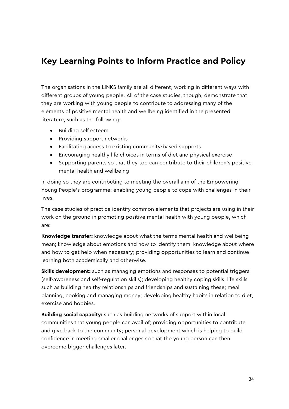# <span id="page-34-0"></span>**Key Learning Points to Inform Practice and Policy**

The organisations in the LINKS family are all different, working in different ways with different groups of young people. All of the case studies, though, demonstrate that they are working with young people to contribute to addressing many of the elements of positive mental health and wellbeing identified in the presented literature, such as the following:

- Building self esteem
- Providing support networks
- Facilitating access to existing community-based supports
- Encouraging healthy life choices in terms of diet and physical exercise
- Supporting parents so that they too can contribute to their children's positive mental health and wellbeing

In doing so they are contributing to meeting the overall aim of the Empowering Young People's programme: enabling young people to cope with challenges in their lives.

The case studies of practice identify common elements that projects are using in their work on the ground in promoting positive mental health with young people, which are:

**Knowledge transfer:** knowledge about what the terms mental health and wellbeing mean; knowledge about emotions and how to identify them; knowledge about where and how to get help when necessary; providing opportunities to learn and continue learning both academically and otherwise.

**Skills development:** such as managing emotions and responses to potential triggers (self-awareness and self-regulation skills); developing healthy coping skills; life skills such as building healthy relationships and friendships and sustaining these; meal planning, cooking and managing money; developing healthy habits in relation to diet, exercise and hobbies.

**Building social capacity:** such as building networks of support within local communities that young people can avail of; providing opportunities to contribute and give back to the community; personal development which is helping to build confidence in meeting smaller challenges so that the young person can then overcome bigger challenges later.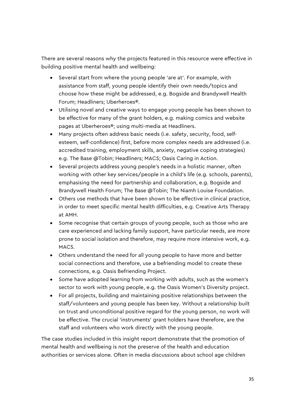There are several reasons why the projects featured in this resource were effective in building positive mental health and wellbeing:

- Several start from where the young people 'are at'. For example, with assistance from staff, young people identify their own needs/topics and choose how these might be addressed, e.g. Bogside and Brandywell Health Forum; Headliners; Uberheroes®.
- Utilising novel and creative ways to engage young people has been shown to be effective for many of the grant holders, e.g. making comics and website pages at Uberheroes®; using multi-media at Headliners.
- Many projects often address basic needs (i.e. safety, security, food, selfesteem, self-confidence) first, before more complex needs are addressed (i.e. accredited training, employment skills, anxiety, negative coping strategies) e.g. The Base @Tobin; Headliners; MACS; Oasis Caring in Action.
- Several projects address young people's needs in a holistic manner, often working with other key services/people in a child's life (e.g. schools, parents), emphasising the need for partnership and collaboration, e.g. Bogside and Brandywell Health Forum; The Base @Tobin; The Niamh Louise Foundation.
- Others use methods that have been shown to be effective in clinical practice, in order to meet specific mental health difficulties, e.g. Creative Arts Therapy at AMH.
- Some recognise that certain groups of young people, such as those who are care experienced and lacking family support, have particular needs, are more prone to social isolation and therefore, may require more intensive work, e.g. MACS.
- Others understand the need for all young people to have more and better social connections and therefore, use a befriending model to create these connections, e.g. Oasis Befriending Project.
- Some have adopted learning from working with adults, such as the women's sector to work with young people, e.g. the Oasis Women's Diversity project.
- For all projects, building and maintaining positive relationships between the staff/volunteers and young people has been key. Without a relationship built on trust and unconditional positive regard for the young person, no work will be effective. The crucial 'instruments' grant holders have therefore, are the staff and volunteers who work directly with the young people.

The case studies included in this insight report demonstrate that the promotion of mental health and wellbeing is not the preserve of the health and education authorities or services alone. Often in media discussions about school age children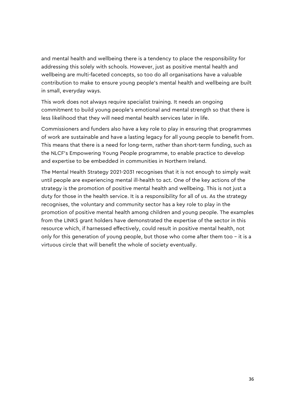and mental health and wellbeing there is a tendency to place the responsibility for addressing this solely with schools. However, just as positive mental health and wellbeing are multi-faceted concepts, so too do all organisations have a valuable contribution to make to ensure young people's mental health and wellbeing are built in small, everyday ways.

This work does not always require specialist training. It needs an ongoing commitment to build young people's emotional and mental strength so that there is less likelihood that they will need mental health services later in life.

Commissioners and funders also have a key role to play in ensuring that programmes of work are sustainable and have a lasting legacy for all young people to benefit from. This means that there is a need for long-term, rather than short-term funding, such as the NLCF's Empowering Young People programme, to enable practice to develop and expertise to be embedded in communities in Northern Ireland.

The Mental Health Strategy 2021-2031 recognises that it is not enough to simply wait until people are experiencing mental ill-health to act. One of the key actions of the strategy is the promotion of positive mental health and wellbeing. This is not just a duty for those in the health service. It is a responsibility for all of us. As the strategy recognises, the voluntary and community sector has a key role to play in the promotion of positive mental health among children and young people. The examples from the LINKS grant holders have demonstrated the expertise of the sector in this resource which, if harnessed effectively, could result in positive mental health, not only for this generation of young people, but those who come after them too – it is a virtuous circle that will benefit the whole of society eventually.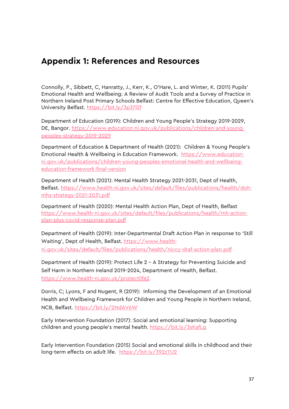# <span id="page-37-0"></span>**Appendix 1: References and Resources**

Connolly, P., Sibbett, C, Hanratty, J., Kerr, K., O'Hare, L. and Winter, K. (2011) Pupils' Emotional Health and Wellbeing: A Review of Audit Tools and a Survey of Practice in Northern Ireland Post Primary Schools Belfast: Centre for Effective Education, Queen's University Belfast. <https://bit.ly/3p37l2f>

Department of Education (2019): Children and Young People's Strategy 2019-2029, DE, Bangor. [https://www.education-ni.gov.uk/publications/children-and-young](https://www.education-ni.gov.uk/publications/children-and-young-peoples-strategy-2019-2029)[peoples-strategy-2019-2029](https://www.education-ni.gov.uk/publications/children-and-young-peoples-strategy-2019-2029)

Department of Education & Department of Health (2021): Children & Young People's Emotional Health & Wellbeing in Education Framework. [https://www.education](https://www.education-ni.gov.uk/publications/children-young-peoples-emotional-health-and-wellbeing-education-framework-final-version)[ni.gov.uk/publications/children-young-peoples-emotional-health-and-wellbeing](https://www.education-ni.gov.uk/publications/children-young-peoples-emotional-health-and-wellbeing-education-framework-final-version)[education-framework-final-version](https://www.education-ni.gov.uk/publications/children-young-peoples-emotional-health-and-wellbeing-education-framework-final-version)

Department of Health (2021): Mental Health Strategy 2021-2031, Dept of Health, Belfast. [https://www.health-ni.gov.uk/sites/default/files/publications/health/doh](https://www.health-ni.gov.uk/sites/default/files/publications/health/doh-mhs-strategy-2021-2031.pdf)[mhs-strategy-2021-2031.pdf](https://www.health-ni.gov.uk/sites/default/files/publications/health/doh-mhs-strategy-2021-2031.pdf)

Department of Health (2020): Mental Health Action Plan, Dept of Health, Belfast [https://www.health-ni.gov.uk/sites/default/files/publications/health/mh-action](https://www.health-ni.gov.uk/sites/default/files/publications/health/mh-action-plan-plus-covid-response-plan.pdf)[plan-plus-covid-response-plan.pdf](https://www.health-ni.gov.uk/sites/default/files/publications/health/mh-action-plan-plus-covid-response-plan.pdf)

Department of Health (2019): Inter-Departmental Draft Action Plan in response to 'Still Waiting', Dept of Health, Belfast. [https://www.health](https://www.health-ni.gov.uk/sites/default/files/publications/health/niccy-draf-action-plan.pdf)[ni.gov.uk/sites/default/files/publications/health/niccy-draf-action-plan.pdf](https://www.health-ni.gov.uk/sites/default/files/publications/health/niccy-draf-action-plan.pdf)

Department of Health (2019): Protect Life 2 – A Strategy for Preventing Suicide and Self Harm in Northern Ireland 2019-2024, Department of Health, Belfast. [https://www.health-ni.gov.uk/protectlife2.](https://www.health-ni.gov.uk/protectlife2)

Dorris, C; Lyons, F and Nugent, R (2019): Informing the Development of an Emotional Health and Wellbeing Framework for Children and Young People in Northern Ireland, NCB, Belfast. <https://bit.ly/2NdAV6W>

Early Intervention Foundation (2017): Social and emotional learning: Supporting children and young people's mental health. https://bit.ly/3sKafLq

Early Intervention Foundation (2015) Social and emotional skills in childhood and their long-term effects on adult life. <https://bit.ly/392zTU2>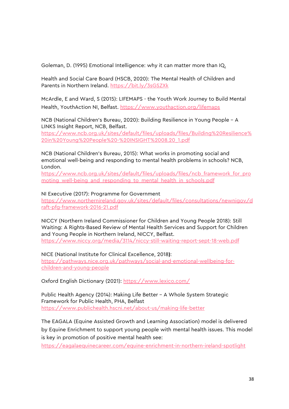Goleman, D. (1995) Emotional Intelligence: why it can matter more than IQ.

Health and Social Care Board (HSCB, 2020): The Mental Health of Children and Parents in Northern Ireland. <https://bit.ly/3sGSZXk>

McArdle, E and Ward, S (2015): LIFEMAPS - the Youth Work Journey to Build Mental Health, YouthAction NI, Belfast.<https://www.youthaction.org/lifemaps>

NCB (National Children's Bureau, 2020): Building Resilience in Young People – A LINKS Insight Report, NCB, Belfast. [https://www.ncb.org.uk/sites/default/files/uploads/files/Building%20Resilience%](https://www.ncb.org.uk/sites/default/files/uploads/files/Building%20Resilience%20in%20Young%20People%20-%20INSIGHT%2008.20_1.pdf) [20in%20Young%20People%20-%20INSIGHT%2008.20\\_1.pdf](https://www.ncb.org.uk/sites/default/files/uploads/files/Building%20Resilience%20in%20Young%20People%20-%20INSIGHT%2008.20_1.pdf)

NCB (National Children's Bureau, 2015): What works in promoting social and emotional well-being and responding to mental health problems in schools? NCB, London.

[https://www.ncb.org.uk/sites/default/files/uploads/files/ncb\\_framework\\_for\\_pro](https://www.ncb.org.uk/sites/default/files/uploads/files/ncb_framework_for_promoting_well-being_and_responding_to_mental_health_in_schools.pdf) moting well-being and responding to mental health in schools.pdf

NI Executive (2017): Programme for Government

[https://www.northernireland.gov.uk/sites/default/files/consultations/newnigov/d](https://www.northernireland.gov.uk/sites/default/files/consultations/newnigov/draft-pfg-framework-2016-21.pdf) [raft-pfg-framework-2016-21.pdf](https://www.northernireland.gov.uk/sites/default/files/consultations/newnigov/draft-pfg-framework-2016-21.pdf)

NICCY (Northern Ireland Commissioner for Children and Young People 2018): Still Waiting: A Rights-Based Review of Mental Health Services and Support for Children and Young People in Northern Ireland, NICCY, Belfast. <https://www.niccy.org/media/3114/niccy-still-waiting-report-sept-18-web.pdf>

NICE (National Institute for Clinical Excellence, 2018**)**: [https://pathways.nice.org.uk/pathways/social-and-emotional-wellbeing-for](https://pathways.nice.org.uk/pathways/social-and-emotional-wellbeing-for-children-and-young-people)[children-and-young-people](https://pathways.nice.org.uk/pathways/social-and-emotional-wellbeing-for-children-and-young-people)

Oxford English Dictionary (2021):<https://www.lexico.com/>

Public Health Agency (2014): Making Life Better – A Whole System Strategic Framework for Public Health, PHA, Belfast <https://www.publichealth.hscni.net/about-us/making-life-better>

The EAGALA (Equine Assisted Growth and Learning Association) model is delivered by Equine Enrichment to support young people with mental health issues. This model is key in promotion of positive mental health see:

<https://eagalaequinecareer.com/equine-enrichment-in-northern-ireland-spotlight>